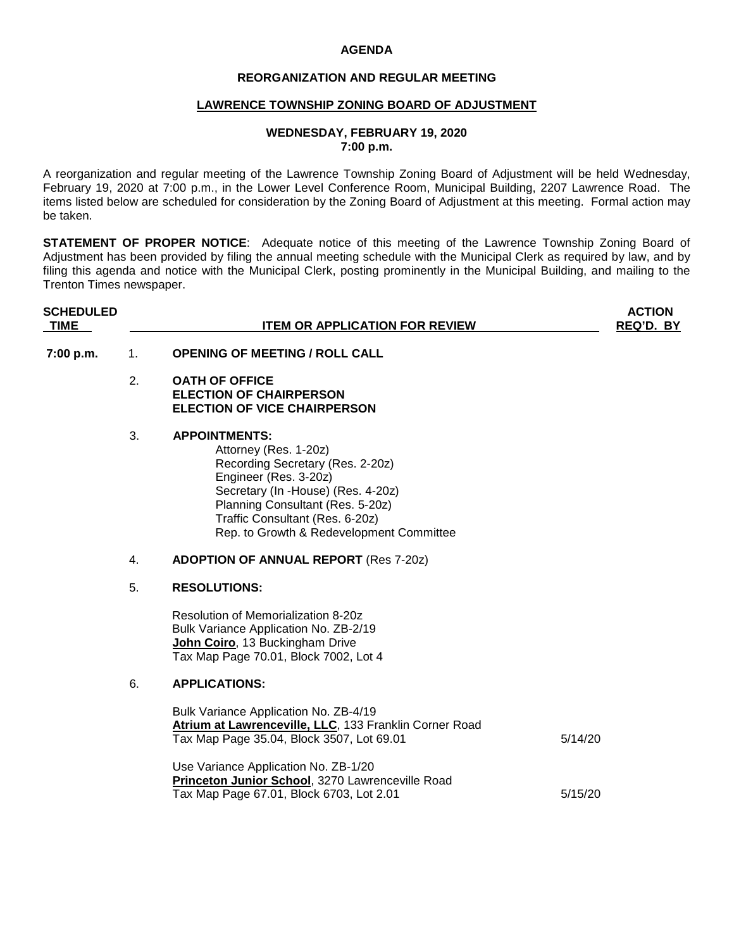### **AGENDA**

# **REORGANIZATION AND REGULAR MEETING**

## **LAWRENCE TOWNSHIP ZONING BOARD OF ADJUSTMENT**

### **WEDNESDAY, FEBRUARY 19, 2020 7:00 p.m.**

A reorganization and regular meeting of the Lawrence Township Zoning Board of Adjustment will be held Wednesday, February 19, 2020 at 7:00 p.m., in the Lower Level Conference Room, Municipal Building, 2207 Lawrence Road. The items listed below are scheduled for consideration by the Zoning Board of Adjustment at this meeting. Formal action may be taken.

**STATEMENT OF PROPER NOTICE**: Adequate notice of this meeting of the Lawrence Township Zoning Board of Adjustment has been provided by filing the annual meeting schedule with the Municipal Clerk as required by law, and by filing this agenda and notice with the Municipal Clerk, posting prominently in the Municipal Building, and mailing to the Trenton Times newspaper.

| <b>SCHEDULED</b><br><b>TIME</b> |    | <b>ITEM OR APPLICATION FOR REVIEW</b>                                                                                                                                                                                                                               | <b>ACTION</b><br>REQ'D. BY |
|---------------------------------|----|---------------------------------------------------------------------------------------------------------------------------------------------------------------------------------------------------------------------------------------------------------------------|----------------------------|
| 7:00 p.m.                       | 1. | <b>OPENING OF MEETING / ROLL CALL</b>                                                                                                                                                                                                                               |                            |
|                                 | 2. | <b>OATH OF OFFICE</b><br><b>ELECTION OF CHAIRPERSON</b><br><b>ELECTION OF VICE CHAIRPERSON</b>                                                                                                                                                                      |                            |
|                                 | 3. | <b>APPOINTMENTS:</b><br>Attorney (Res. 1-20z)<br>Recording Secretary (Res. 2-20z)<br>Engineer (Res. 3-20z)<br>Secretary (In -House) (Res. 4-20z)<br>Planning Consultant (Res. 5-20z)<br>Traffic Consultant (Res. 6-20z)<br>Rep. to Growth & Redevelopment Committee |                            |
|                                 | 4. | <b>ADOPTION OF ANNUAL REPORT (Res 7-20z)</b>                                                                                                                                                                                                                        |                            |
|                                 | 5. | <b>RESOLUTIONS:</b>                                                                                                                                                                                                                                                 |                            |
|                                 |    | Resolution of Memorialization 8-20z<br>Bulk Variance Application No. ZB-2/19<br>John Coiro, 13 Buckingham Drive<br>Tax Map Page 70.01, Block 7002, Lot 4                                                                                                            |                            |
|                                 | 6. | <b>APPLICATIONS:</b>                                                                                                                                                                                                                                                |                            |
|                                 |    | Bulk Variance Application No. ZB-4/19<br>Atrium at Lawrenceville, LLC, 133 Franklin Corner Road<br>Tax Map Page 35.04, Block 3507, Lot 69.01                                                                                                                        | 5/14/20                    |
|                                 |    | Use Variance Application No. ZB-1/20<br>Princeton Junior School, 3270 Lawrenceville Road<br>Tax Map Page 67.01, Block 6703, Lot 2.01                                                                                                                                | 5/15/20                    |